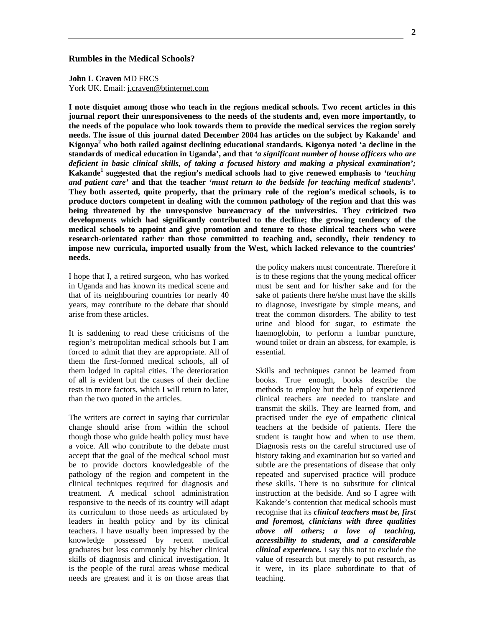## **Rumbles in the Medical Schools?**

**John L Craven** MD FRCS York UK. Email: j.craven@btinternet.com

**I note disquiet among those who teach in the regions medical schools. Two recent articles in this journal report their unresponsiveness to the needs of the students and, even more importantly, to the needs of the populace who look towards them to provide the medical services the region sorely needs. The issue of this journal dated December 2004 has articles on the subject by Kakande<sup>1</sup> and Kigonya2 who both railed against declining educational standards. Kigonya noted 'a decline in the standards of medical education in Uganda', and that** *'a significant number of house officers who are deficient in basic clinical skills, of taking a focused history and making a physical examination';* Kakande<sup>1</sup> suggested that the region's medical schools had to give renewed emphasis to 'teaching *and patient care'* **and that the teacher '***must return to the bedside for teaching medical students'.* **They both asserted, quite properly, that the primary role of the region's medical schools, is to produce doctors competent in dealing with the common pathology of the region and that this was being threatened by the unresponsive bureaucracy of the universities. They criticized two developments which had significantly contributed to the decline; the growing tendency of the medical schools to appoint and give promotion and tenure to those clinical teachers who were research-orientated rather than those committed to teaching and, secondly, their tendency to impose new curricula, imported usually from the West, which lacked relevance to the countries' needs.** 

I hope that I, a retired surgeon, who has worked in Uganda and has known its medical scene and that of its neighbouring countries for nearly 40 years, may contribute to the debate that should arise from these articles.

It is saddening to read these criticisms of the region's metropolitan medical schools but I am forced to admit that they are appropriate. All of them the first-formed medical schools, all of them lodged in capital cities. The deterioration of all is evident but the causes of their decline rests in more factors, which I will return to later, than the two quoted in the articles.

The writers are correct in saying that curricular change should arise from within the school though those who guide health policy must have a voice. All who contribute to the debate must accept that the goal of the medical school must be to provide doctors knowledgeable of the pathology of the region and competent in the clinical techniques required for diagnosis and treatment. A medical school administration responsive to the needs of its country will adapt its curriculum to those needs as articulated by leaders in health policy and by its clinical teachers. I have usually been impressed by the knowledge possessed by recent medical graduates but less commonly by his/her clinical skills of diagnosis and clinical investigation. It is the people of the rural areas whose medical needs are greatest and it is on those areas that the policy makers must concentrate. Therefore it is to these regions that the young medical officer must be sent and for his/her sake and for the sake of patients there he/she must have the skills to diagnose, investigate by simple means, and treat the common disorders. The ability to test urine and blood for sugar, to estimate the haemoglobin, to perform a lumbar puncture, wound toilet or drain an abscess, for example, is essential.

Skills and techniques cannot be learned from books. True enough, books describe the methods to employ but the help of experienced clinical teachers are needed to translate and transmit the skills. They are learned from, and practised under the eye of empathetic clinical teachers at the bedside of patients. Here the student is taught how and when to use them. Diagnosis rests on the careful structured use of history taking and examination but so varied and subtle are the presentations of disease that only repeated and supervised practice will produce these skills. There is no substitute for clinical instruction at the bedside. And so I agree with Kakande's contention that medical schools must recognise that its *clinical teachers must be, first and foremost, clinicians with three qualities above all others; a love of teaching, accessibility to students, and a considerable clinical experience.* I say this not to exclude the value of research but merely to put research, as it were, in its place subordinate to that of teaching.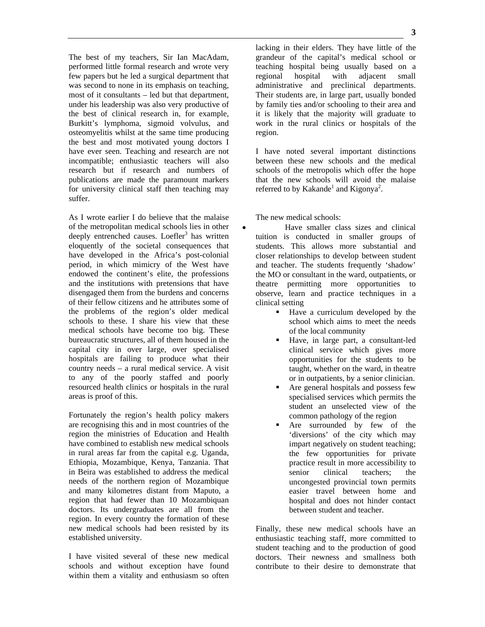The best of my teachers, Sir Ian MacAdam, performed little formal research and wrote very few papers but he led a surgical department that was second to none in its emphasis on teaching, most of it consultants – led but that department, under his leadership was also very productive of the best of clinical research in, for example, Burkitt's lymphoma, sigmoid volvulus, and osteomyelitis whilst at the same time producing the best and most motivated young doctors I have ever seen. Teaching and research are not incompatible; enthusiastic teachers will also research but if research and numbers of publications are made the paramount markers for university clinical staff then teaching may suffer.

As I wrote earlier I do believe that the malaise of the metropolitan medical schools lies in other deeply entrenched causes. Loefler<sup>3</sup> has written eloquently of the societal consequences that have developed in the Africa's post-colonial period, in which mimicry of the West have endowed the continent's elite, the professions and the institutions with pretensions that have disengaged them from the burdens and concerns of their fellow citizens and he attributes some of the problems of the region's older medical schools to these. I share his view that these medical schools have become too big. These bureaucratic structures, all of them housed in the capital city in over large, over specialised hospitals are failing to produce what their country needs – a rural medical service. A visit to any of the poorly staffed and poorly resourced health clinics or hospitals in the rural areas is proof of this.

Fortunately the region's health policy makers are recognising this and in most countries of the region the ministries of Education and Health have combined to establish new medical schools in rural areas far from the capital e.g. Uganda, Ethiopia, Mozambique, Kenya, Tanzania. That in Beira was established to address the medical needs of the northern region of Mozambique and many kilometres distant from Maputo, a region that had fewer than 10 Mozambiquan doctors. Its undergraduates are all from the region. In every country the formation of these new medical schools had been resisted by its established university.

I have visited several of these new medical schools and without exception have found within them a vitality and enthusiasm so often lacking in their elders. They have little of the grandeur of the capital's medical school or teaching hospital being usually based on a regional hospital with adjacent small administrative and preclinical departments. Their students are, in large part, usually bonded by family ties and/or schooling to their area and it is likely that the majority will graduate to work in the rural clinics or hospitals of the region.

I have noted several important distinctions between these new schools and the medical schools of the metropolis which offer the hope that the new schools will avoid the malaise referred to by Kakande<sup>1</sup> and Kigonya<sup>2</sup>.

The new medical schools:

• Have smaller class sizes and clinical tuition is conducted in smaller groups of students. This allows more substantial and closer relationships to develop between student and teacher. The students frequently 'shadow' the MO or consultant in the ward, outpatients, or theatre permitting more opportunities to observe, learn and practice techniques in a clinical setting

- Have a curriculum developed by the school which aims to meet the needs of the local community
- Have, in large part, a consultant-led clinical service which gives more opportunities for the students to be taught, whether on the ward, in theatre or in outpatients, by a senior clinician.
- Are general hospitals and possess few specialised services which permits the student an unselected view of the common pathology of the region
- Are surrounded by few of the 'diversions' of the city which may impart negatively on student teaching; the few opportunities for private practice result in more accessibility to senior clinical teachers; the uncongested provincial town permits easier travel between home and hospital and does not hinder contact between student and teacher.

Finally, these new medical schools have an enthusiastic teaching staff, more committed to student teaching and to the production of good doctors. Their newness and smallness both contribute to their desire to demonstrate that